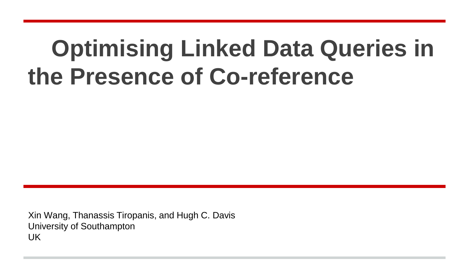## **Optimising Linked Data Queries in the Presence of Co-reference**

Xin Wang, Thanassis Tiropanis, and Hugh C. Davis University of Southampton UK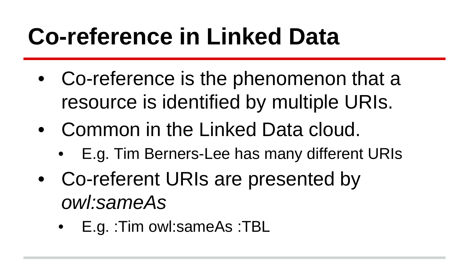# **Co-reference in Linked Data**

- Co-reference is the phenomenon that a resource is identified by multiple URIs.
- Common in the Linked Data cloud.
	- E.g. Tim Berners-Lee has many different URIs
- Co-referent URIs are presented by *owl:sameAs*
	- E.g. :Tim owl:sameAs :TBL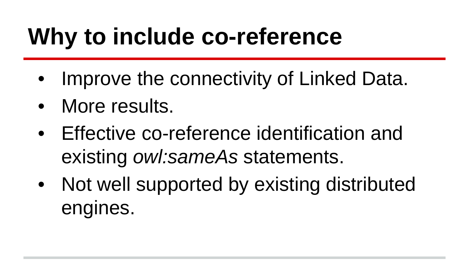# **Why to include co-reference**

- Improve the connectivity of Linked Data.
- More results.
- Effective co-reference identification and existing *owl:sameAs* statements.
- Not well supported by existing distributed engines.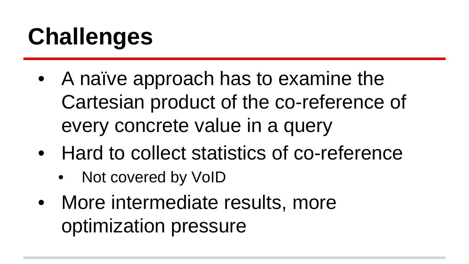# **Challenges**

- A naïve approach has to examine the Cartesian product of the co-reference of every concrete value in a query
- Hard to collect statistics of co-reference
	- Not covered by VoID
- More intermediate results, more optimization pressure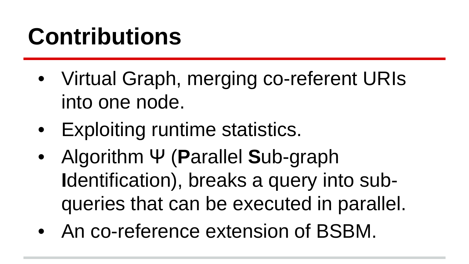# **Contributions**

- Virtual Graph, merging co-referent URIs into one node.
- Exploiting runtime statistics.
- Algorithm Ψ (**P**arallel **S**ub-graph **I**dentification), breaks a query into subqueries that can be executed in parallel.
- An co-reference extension of BSBM.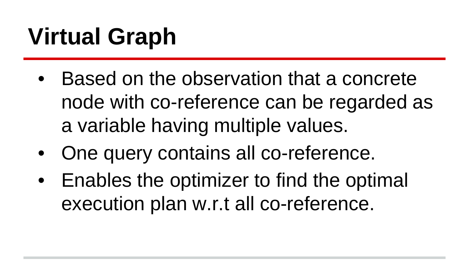# **Virtual Graph**

- Based on the observation that a concrete node with co-reference can be regarded as a variable having multiple values.
- One query contains all co-reference.
- Enables the optimizer to find the optimal execution plan w.r.t all co-reference.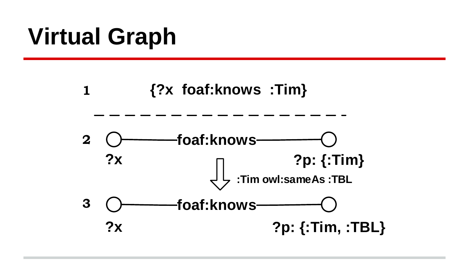# **Virtual Graph**

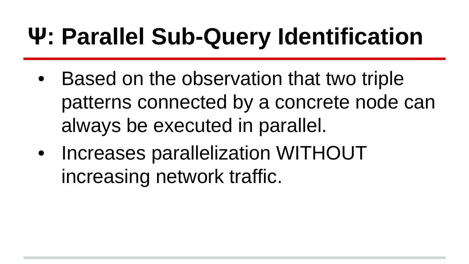- Based on the observation that two triple patterns connected by a concrete node can always be executed in parallel.
- Increases parallelization WITHOUT increasing network traffic.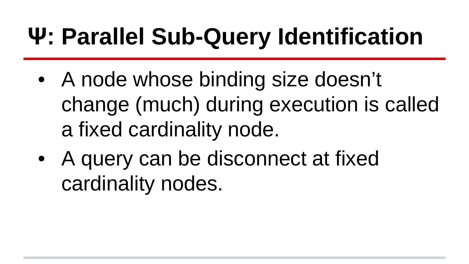- A node whose binding size doesn't change (much) during execution is called a fixed cardinality node.
- A query can be disconnect at fixed cardinality nodes.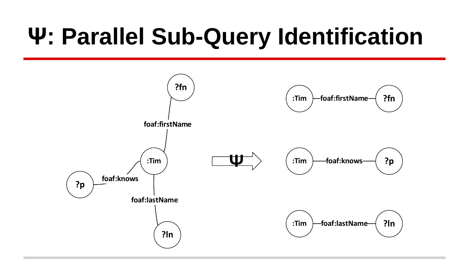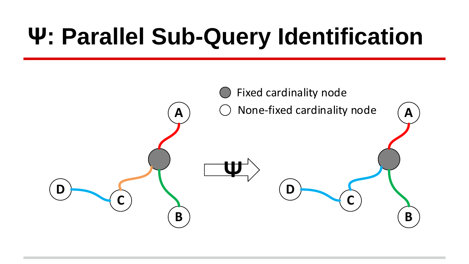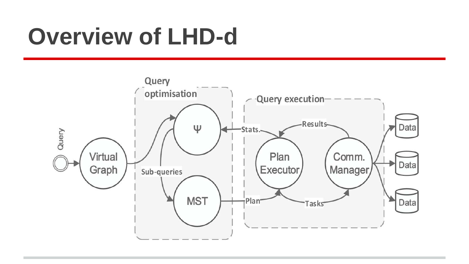### **Overview of LHD-d**

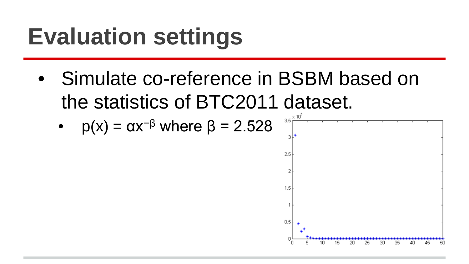# **Evaluation settings**

• Simulate co-reference in BSBM based on the statistics of BTC2011 dataset.

• 
$$
p(x) = \alpha x^{-\beta}
$$
 where  $\beta = 2.528$ 

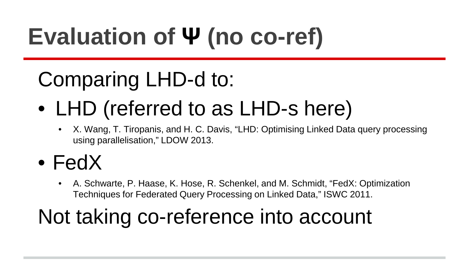# **Evaluation of Ψ (no co-ref)**

#### Comparing LHD-d to:

# • LHD (referred to as LHD-s here)<br>• X. Wang, T. Tiropanis, and H. C. Davis, "LHD: Optimising Linked Data query processing

- using parallelisation," LDOW 2013.
- FedX
	- A. Schwarte, P. Haase, K. Hose, R. Schenkel, and M. Schmidt, "FedX: Optimization Techniques for Federated Query Processing on Linked Data," ISWC 2011.

#### Not taking co-reference into account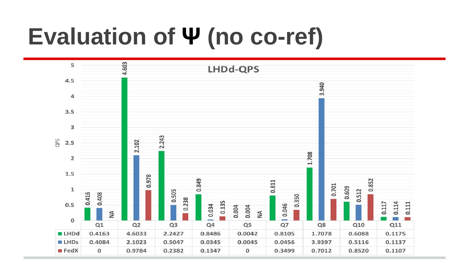# **Evaluation of Ψ (no co-ref)**

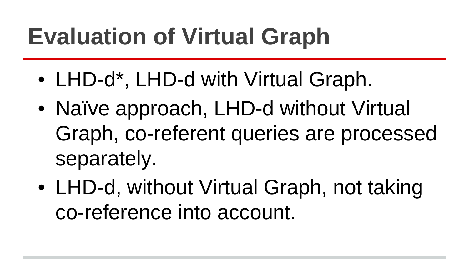# **Evaluation of Virtual Graph**

- LHD-d<sup>\*</sup>, LHD-d with Virtual Graph.
- Naïve approach, LHD-d without Virtual Graph, co-referent queries are processed separately.
- LHD-d, without Virtual Graph, not taking co-reference into account.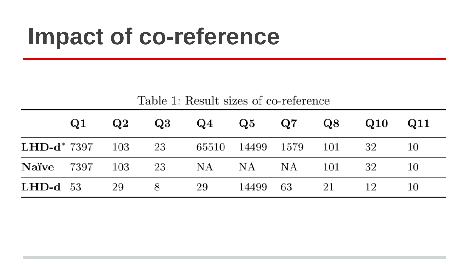#### **Impact of co-reference**

|  |  | Table 1: Result sizes of co-reference |
|--|--|---------------------------------------|
|  |  |                                       |

|                                                    | $\bf Q1$ | $\bf Q2$ | $\bf Q3$ | $Q4 \tQ5 \tQ7$ |             | $\bf Q8$ | $\bf Q10$ | Q11 |
|----------------------------------------------------|----------|----------|----------|----------------|-------------|----------|-----------|-----|
| <b>LHD-d</b> * 7397 103 23 65510 14499 1579 101 32 |          |          |          |                |             |          |           | 10  |
| <b>Naïve</b> 7397 103 23 NA NA NA 101              |          |          |          |                |             |          | -32       | -10 |
| $LHD-d 53$                                         |          | 29       | 8        | 29             | 14499 63 21 |          |           | 10  |